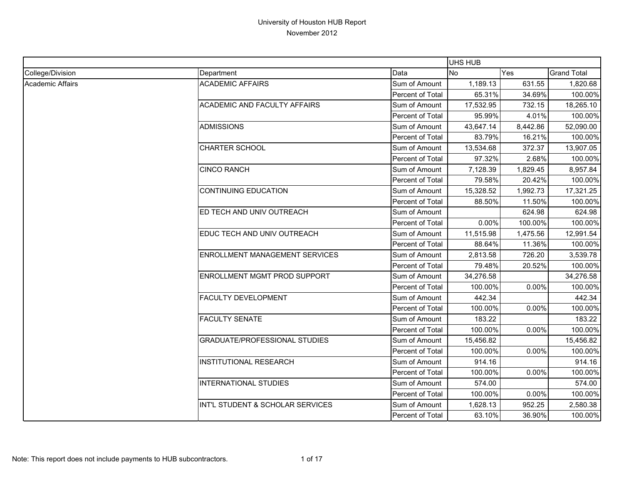|                         |                                       |                         | UHS HUB   |          |                    |
|-------------------------|---------------------------------------|-------------------------|-----------|----------|--------------------|
| College/Division        | Department                            | Data                    | <b>No</b> | Yes      | <b>Grand Total</b> |
| <b>Academic Affairs</b> | <b>ACADEMIC AFFAIRS</b>               | Sum of Amount           | 1,189.13  | 631.55   | 1,820.68           |
|                         |                                       | Percent of Total        | 65.31%    | 34.69%   | 100.00%            |
|                         | <b>ACADEMIC AND FACULTY AFFAIRS</b>   | Sum of Amount           | 17,532.95 | 732.15   | 18,265.10          |
|                         |                                       | Percent of Total        | 95.99%    | 4.01%    | 100.00%            |
|                         | <b>ADMISSIONS</b>                     | Sum of Amount           | 43,647.14 | 8,442.86 | 52,090.00          |
|                         |                                       | Percent of Total        | 83.79%    | 16.21%   | 100.00%            |
|                         | <b>CHARTER SCHOOL</b>                 | Sum of Amount           | 13,534.68 | 372.37   | 13,907.05          |
|                         |                                       | Percent of Total        | 97.32%    | 2.68%    | 100.00%            |
|                         | <b>CINCO RANCH</b>                    | Sum of Amount           | 7,128.39  | 1,829.45 | 8,957.84           |
|                         |                                       | Percent of Total        | 79.58%    | 20.42%   | 100.00%            |
|                         | <b>CONTINUING EDUCATION</b>           | Sum of Amount           | 15,328.52 | 1,992.73 | 17,321.25          |
|                         |                                       | Percent of Total        | 88.50%    | 11.50%   | 100.00%            |
|                         | ED TECH AND UNIV OUTREACH             | Sum of Amount           |           | 624.98   | 624.98             |
|                         |                                       | Percent of Total        | 0.00%     | 100.00%  | 100.00%            |
|                         | EDUC TECH AND UNIV OUTREACH           | Sum of Amount           | 11,515.98 | 1,475.56 | 12,991.54          |
|                         |                                       | Percent of Total        | 88.64%    | 11.36%   | 100.00%            |
|                         | <b>ENROLLMENT MANAGEMENT SERVICES</b> | Sum of Amount           | 2,813.58  | 726.20   | 3,539.78           |
|                         |                                       | Percent of Total        | 79.48%    | 20.52%   | 100.00%            |
|                         | ENROLLMENT MGMT PROD SUPPORT          | Sum of Amount           | 34,276.58 |          | 34,276.58          |
|                         |                                       | Percent of Total        | 100.00%   | 0.00%    | 100.00%            |
|                         | <b>FACULTY DEVELOPMENT</b>            | Sum of Amount           | 442.34    |          | 442.34             |
|                         |                                       | Percent of Total        | 100.00%   | 0.00%    | 100.00%            |
|                         | <b>FACULTY SENATE</b>                 | Sum of Amount           | 183.22    |          | 183.22             |
|                         |                                       | Percent of Total        | 100.00%   | 0.00%    | 100.00%            |
|                         | <b>GRADUATE/PROFESSIONAL STUDIES</b>  | Sum of Amount           | 15,456.82 |          | 15,456.82          |
|                         |                                       | Percent of Total        | 100.00%   | 0.00%    | 100.00%            |
|                         | <b>INSTITUTIONAL RESEARCH</b>         | Sum of Amount           | 914.16    |          | 914.16             |
|                         |                                       | Percent of Total        | 100.00%   | 0.00%    | 100.00%            |
|                         | <b>INTERNATIONAL STUDIES</b>          | Sum of Amount           | 574.00    |          | 574.00             |
|                         |                                       | Percent of Total        | 100.00%   | 0.00%    | 100.00%            |
|                         | INT'L STUDENT & SCHOLAR SERVICES      | Sum of Amount           | 1,628.13  | 952.25   | 2,580.38           |
|                         |                                       | <b>Percent of Total</b> | 63.10%    | 36.90%   | 100.00%            |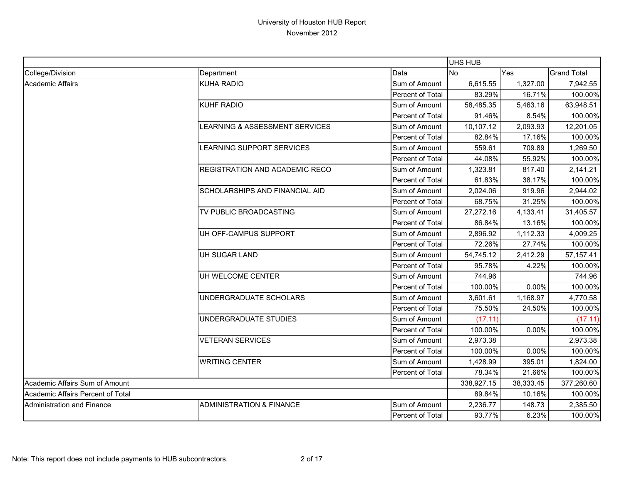|                                   |                                       |                  | <b>UHS HUB</b> |           |                    |
|-----------------------------------|---------------------------------------|------------------|----------------|-----------|--------------------|
| College/Division                  | Department                            | Data             | No             | Yes       | <b>Grand Total</b> |
| <b>Academic Affairs</b>           | <b>KUHA RADIO</b>                     | Sum of Amount    | 6,615.55       | 1,327.00  | 7,942.55           |
|                                   |                                       | Percent of Total | 83.29%         | 16.71%    | 100.00%            |
|                                   | <b>KUHF RADIO</b>                     | Sum of Amount    | 58,485.35      | 5,463.16  | 63,948.51          |
|                                   |                                       | Percent of Total | 91.46%         | 8.54%     | 100.00%            |
|                                   | LEARNING & ASSESSMENT SERVICES        | Sum of Amount    | 10,107.12      | 2,093.93  | 12,201.05          |
|                                   |                                       | Percent of Total | 82.84%         | 17.16%    | 100.00%            |
|                                   | LEARNING SUPPORT SERVICES             | Sum of Amount    | 559.61         | 709.89    | 1,269.50           |
|                                   |                                       | Percent of Total | 44.08%         | 55.92%    | 100.00%            |
|                                   | REGISTRATION AND ACADEMIC RECO        | Sum of Amount    | 1,323.81       | 817.40    | 2,141.21           |
|                                   |                                       | Percent of Total | 61.83%         | 38.17%    | 100.00%            |
|                                   | <b>SCHOLARSHIPS AND FINANCIAL AID</b> | Sum of Amount    | 2,024.06       | 919.96    | 2,944.02           |
|                                   |                                       | Percent of Total | 68.75%         | 31.25%    | 100.00%            |
|                                   | TV PUBLIC BROADCASTING                | Sum of Amount    | 27,272.16      | 4,133.41  | 31,405.57          |
|                                   |                                       | Percent of Total | 86.84%         | 13.16%    | 100.00%            |
|                                   | UH OFF-CAMPUS SUPPORT                 | Sum of Amount    | 2,896.92       | 1,112.33  | 4,009.25           |
|                                   |                                       | Percent of Total | 72.26%         | 27.74%    | 100.00%            |
|                                   | UH SUGAR LAND                         | Sum of Amount    | 54,745.12      | 2,412.29  | 57, 157.41         |
|                                   |                                       | Percent of Total | 95.78%         | 4.22%     | 100.00%            |
|                                   | UH WELCOME CENTER                     | Sum of Amount    | 744.96         |           | 744.96             |
|                                   |                                       | Percent of Total | 100.00%        | 0.00%     | 100.00%            |
|                                   | UNDERGRADUATE SCHOLARS                | Sum of Amount    | 3,601.61       | 1,168.97  | 4,770.58           |
|                                   |                                       | Percent of Total | 75.50%         | 24.50%    | 100.00%            |
|                                   | UNDERGRADUATE STUDIES                 | Sum of Amount    | (17.11)        |           | (17.11)            |
|                                   |                                       | Percent of Total | 100.00%        | $0.00\%$  | 100.00%            |
|                                   | <b>VETERAN SERVICES</b>               | Sum of Amount    | 2,973.38       |           | 2,973.38           |
|                                   |                                       | Percent of Total | 100.00%        | 0.00%     | 100.00%            |
|                                   | <b>WRITING CENTER</b>                 | Sum of Amount    | 1,428.99       | 395.01    | 1,824.00           |
|                                   |                                       | Percent of Total | 78.34%         | 21.66%    | 100.00%            |
| Academic Affairs Sum of Amount    |                                       |                  | 338,927.15     | 38,333.45 | 377,260.60         |
| Academic Affairs Percent of Total |                                       |                  | 89.84%         | 10.16%    | 100.00%            |
| <b>Administration and Finance</b> | <b>ADMINISTRATION &amp; FINANCE</b>   | Sum of Amount    | 2,236.77       | 148.73    | 2,385.50           |
|                                   |                                       | Percent of Total | 93.77%         | 6.23%     | 100.00%            |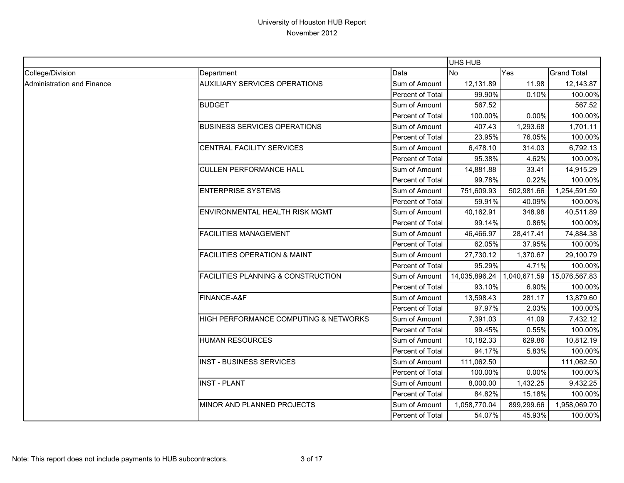|                            |                                               |                  | UHS HUB       |            |                            |
|----------------------------|-----------------------------------------------|------------------|---------------|------------|----------------------------|
| College/Division           | Department                                    | Data             | <b>No</b>     | <b>Yes</b> | <b>Grand Total</b>         |
| Administration and Finance | <b>AUXILIARY SERVICES OPERATIONS</b>          | Sum of Amount    | 12,131.89     | 11.98      | 12,143.87                  |
|                            |                                               | Percent of Total | 99.90%        | 0.10%      | 100.00%                    |
|                            | <b>BUDGET</b>                                 | Sum of Amount    | 567.52        |            | 567.52                     |
|                            |                                               | Percent of Total | 100.00%       | 0.00%      | 100.00%                    |
|                            | <b>BUSINESS SERVICES OPERATIONS</b>           | Sum of Amount    | 407.43        | 1,293.68   | 1,701.11                   |
|                            |                                               | Percent of Total | 23.95%        | 76.05%     | 100.00%                    |
|                            | CENTRAL FACILITY SERVICES                     | Sum of Amount    | 6,478.10      | 314.03     | 6,792.13                   |
|                            |                                               | Percent of Total | 95.38%        | 4.62%      | 100.00%                    |
|                            | <b>CULLEN PERFORMANCE HALL</b>                | Sum of Amount    | 14,881.88     | 33.41      | 14,915.29                  |
|                            |                                               | Percent of Total | 99.78%        | 0.22%      | 100.00%                    |
|                            | <b>ENTERPRISE SYSTEMS</b>                     | Sum of Amount    | 751,609.93    | 502,981.66 | 1,254,591.59               |
|                            |                                               | Percent of Total | 59.91%        | 40.09%     | 100.00%                    |
|                            | <b>ENVIRONMENTAL HEALTH RISK MGMT</b>         | Sum of Amount    | 40,162.91     | 348.98     | 40,511.89                  |
|                            |                                               | Percent of Total | 99.14%        | 0.86%      | 100.00%                    |
|                            | <b>FACILITIES MANAGEMENT</b>                  | Sum of Amount    | 46,466.97     | 28,417.41  | 74,884.38                  |
|                            |                                               | Percent of Total | 62.05%        | 37.95%     | 100.00%                    |
|                            | <b>FACILITIES OPERATION &amp; MAINT</b>       | Sum of Amount    | 27,730.12     | 1,370.67   | 29,100.79                  |
|                            |                                               | Percent of Total | 95.29%        | 4.71%      | 100.00%                    |
|                            | <b>FACILITIES PLANNING &amp; CONSTRUCTION</b> | Sum of Amount    | 14,035,896.24 |            | 1,040,671.59 15,076,567.83 |
|                            |                                               | Percent of Total | 93.10%        | 6.90%      | 100.00%                    |
|                            | FINANCE-A&F                                   | Sum of Amount    | 13,598.43     | 281.17     | 13,879.60                  |
|                            |                                               | Percent of Total | 97.97%        | 2.03%      | 100.00%                    |
|                            | HIGH PERFORMANCE COMPUTING & NETWORKS         | Sum of Amount    | 7,391.03      | 41.09      | 7,432.12                   |
|                            |                                               | Percent of Total | 99.45%        | 0.55%      | 100.00%                    |
|                            | <b>HUMAN RESOURCES</b>                        | Sum of Amount    | 10,182.33     | 629.86     | 10,812.19                  |
|                            |                                               | Percent of Total | 94.17%        | 5.83%      | 100.00%                    |
|                            | <b>INST - BUSINESS SERVICES</b>               | Sum of Amount    | 111,062.50    |            | 111,062.50                 |
|                            |                                               | Percent of Total | 100.00%       | 0.00%      | 100.00%                    |
|                            | <b>INST - PLANT</b>                           | Sum of Amount    | 8,000.00      | 1,432.25   | 9,432.25                   |
|                            |                                               | Percent of Total | 84.82%        | 15.18%     | 100.00%                    |
|                            | MINOR AND PLANNED PROJECTS                    | Sum of Amount    | 1,058,770.04  | 899,299.66 | 1,958,069.70               |
|                            |                                               | Percent of Total | 54.07%        | 45.93%     | 100.00%                    |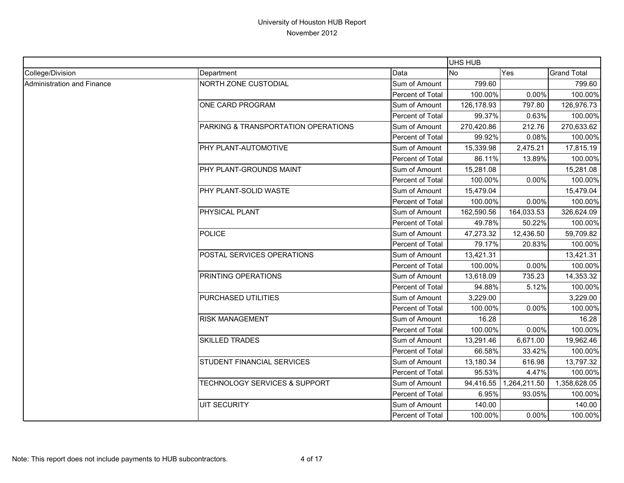|                                   |                                     |                  | UHS HUB    |              |                    |
|-----------------------------------|-------------------------------------|------------------|------------|--------------|--------------------|
| College/Division                  | Department                          | Data             | <b>No</b>  | Yes          | <b>Grand Total</b> |
| <b>Administration and Finance</b> | NORTH ZONE CUSTODIAL                | Sum of Amount    | 799.60     |              | 799.60             |
|                                   |                                     | Percent of Total | 100.00%    | 0.00%        | 100.00%            |
|                                   | ONE CARD PROGRAM                    | Sum of Amount    | 126,178.93 | 797.80       | 126,976.73         |
|                                   |                                     | Percent of Total | 99.37%     | 0.63%        | 100.00%            |
|                                   | PARKING & TRANSPORTATION OPERATIONS | Sum of Amount    | 270,420.86 | 212.76       | 270,633.62         |
|                                   |                                     | Percent of Total | 99.92%     | 0.08%        | 100.00%            |
|                                   | PHY PLANT-AUTOMOTIVE                | Sum of Amount    | 15,339.98  | 2,475.21     | 17,815.19          |
|                                   |                                     | Percent of Total | 86.11%     | 13.89%       | 100.00%            |
|                                   | PHY PLANT-GROUNDS MAINT             | Sum of Amount    | 15,281.08  |              | 15,281.08          |
|                                   |                                     | Percent of Total | 100.00%    | 0.00%        | 100.00%            |
|                                   | PHY PLANT-SOLID WASTE               | Sum of Amount    | 15,479.04  |              | 15,479.04          |
|                                   |                                     | Percent of Total | 100.00%    | 0.00%        | 100.00%            |
|                                   | PHYSICAL PLANT                      | Sum of Amount    | 162,590.56 | 164,033.53   | 326,624.09         |
|                                   |                                     | Percent of Total | 49.78%     | 50.22%       | 100.00%            |
|                                   | <b>POLICE</b>                       | Sum of Amount    | 47,273.32  | 12,436.50    | 59,709.82          |
|                                   |                                     | Percent of Total | 79.17%     | 20.83%       | 100.00%            |
|                                   | POSTAL SERVICES OPERATIONS          | Sum of Amount    | 13,421.31  |              | 13,421.31          |
|                                   |                                     | Percent of Total | 100.00%    | 0.00%        | 100.00%            |
|                                   | PRINTING OPERATIONS                 | Sum of Amount    | 13,618.09  | 735.23       | 14,353.32          |
|                                   |                                     | Percent of Total | 94.88%     | 5.12%        | 100.00%            |
|                                   | PURCHASED UTILITIES                 | Sum of Amount    | 3,229.00   |              | 3,229.00           |
|                                   |                                     | Percent of Total | 100.00%    | 0.00%        | 100.00%            |
|                                   | <b>RISK MANAGEMENT</b>              | Sum of Amount    | 16.28      |              | 16.28              |
|                                   |                                     | Percent of Total | 100.00%    | 0.00%        | 100.00%            |
|                                   | <b>SKILLED TRADES</b>               | Sum of Amount    | 13,291.46  | 6,671.00     | 19,962.46          |
|                                   |                                     | Percent of Total | 66.58%     | 33.42%       | 100.00%            |
|                                   | STUDENT FINANCIAL SERVICES          | Sum of Amount    | 13,180.34  | 616.98       | 13,797.32          |
|                                   |                                     | Percent of Total | 95.53%     | 4.47%        | 100.00%            |
|                                   | TECHNOLOGY SERVICES & SUPPORT       | Sum of Amount    | 94,416.55  | 1,264,211.50 | 1,358,628.05       |
|                                   |                                     | Percent of Total | 6.95%      | 93.05%       | 100.00%            |
|                                   | <b>UIT SECURITY</b>                 | Sum of Amount    | 140.00     |              | 140.00             |
|                                   |                                     | Percent of Total | 100.00%    | 0.00%        | 100.00%            |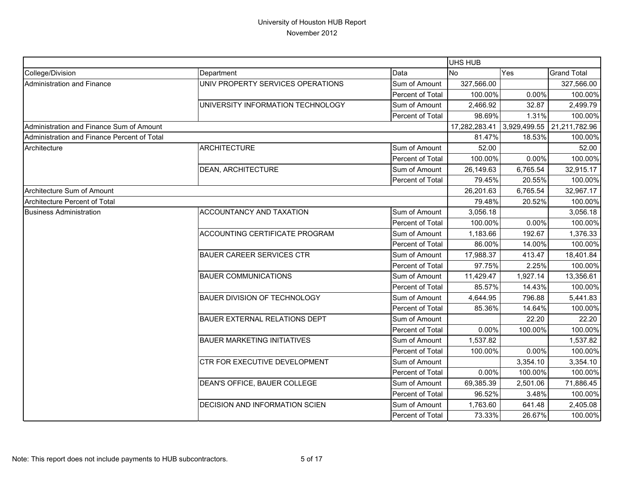|                                             |                                       |                  | UHS HUB       |              |                    |
|---------------------------------------------|---------------------------------------|------------------|---------------|--------------|--------------------|
| College/Division                            | Department                            | Data             | No            | Yes          | <b>Grand Total</b> |
| <b>Administration and Finance</b>           | UNIV PROPERTY SERVICES OPERATIONS     | Sum of Amount    | 327,566.00    |              | 327,566.00         |
|                                             |                                       | Percent of Total | 100.00%       | 0.00%        | 100.00%            |
|                                             | UNIVERSITY INFORMATION TECHNOLOGY     | Sum of Amount    | 2,466.92      | 32.87        | 2,499.79           |
|                                             |                                       | Percent of Total | 98.69%        | 1.31%        | 100.00%            |
| Administration and Finance Sum of Amount    |                                       |                  | 17,282,283.41 | 3,929,499.55 | 21,211,782.96      |
| Administration and Finance Percent of Total |                                       |                  | 81.47%        | 18.53%       | 100.00%            |
| Architecture                                | <b>ARCHITECTURE</b>                   | Sum of Amount    | 52.00         |              | 52.00              |
|                                             |                                       | Percent of Total | 100.00%       | 0.00%        | 100.00%            |
|                                             | <b>DEAN, ARCHITECTURE</b>             | Sum of Amount    | 26,149.63     | 6,765.54     | 32,915.17          |
|                                             |                                       | Percent of Total | 79.45%        | 20.55%       | 100.00%            |
| Architecture Sum of Amount                  |                                       |                  | 26,201.63     | 6,765.54     | 32,967.17          |
| <b>Architecture Percent of Total</b>        |                                       |                  | 79.48%        | 20.52%       | 100.00%            |
| <b>Business Administration</b>              | <b>ACCOUNTANCY AND TAXATION</b>       | Sum of Amount    | 3,056.18      |              | 3,056.18           |
|                                             |                                       | Percent of Total | 100.00%       | 0.00%        | 100.00%            |
|                                             | ACCOUNTING CERTIFICATE PROGRAM        | Sum of Amount    | 1,183.66      | 192.67       | 1,376.33           |
|                                             |                                       | Percent of Total | 86.00%        | 14.00%       | 100.00%            |
|                                             | <b>BAUER CAREER SERVICES CTR</b>      | Sum of Amount    | 17,988.37     | 413.47       | 18,401.84          |
|                                             |                                       | Percent of Total | 97.75%        | 2.25%        | 100.00%            |
|                                             | <b>BAUER COMMUNICATIONS</b>           | Sum of Amount    | 11,429.47     | 1,927.14     | 13,356.61          |
|                                             |                                       | Percent of Total | 85.57%        | 14.43%       | 100.00%            |
|                                             | <b>BAUER DIVISION OF TECHNOLOGY</b>   | Sum of Amount    | 4,644.95      | 796.88       | 5,441.83           |
|                                             |                                       | Percent of Total | 85.36%        | 14.64%       | 100.00%            |
|                                             | <b>BAUER EXTERNAL RELATIONS DEPT</b>  | Sum of Amount    |               | 22.20        | 22.20              |
|                                             |                                       | Percent of Total | 0.00%         | 100.00%      | 100.00%            |
|                                             | <b>BAUER MARKETING INITIATIVES</b>    | Sum of Amount    | 1,537.82      |              | 1,537.82           |
|                                             |                                       | Percent of Total | 100.00%       | 0.00%        | 100.00%            |
|                                             | CTR FOR EXECUTIVE DEVELOPMENT         | Sum of Amount    |               | 3,354.10     | 3,354.10           |
|                                             |                                       | Percent of Total | $0.00\%$      | 100.00%      | 100.00%            |
|                                             | DEAN'S OFFICE, BAUER COLLEGE          | Sum of Amount    | 69,385.39     | 2,501.06     | 71,886.45          |
|                                             |                                       | Percent of Total | 96.52%        | 3.48%        | 100.00%            |
|                                             | <b>DECISION AND INFORMATION SCIEN</b> | Sum of Amount    | 1,763.60      | 641.48       | 2,405.08           |
|                                             |                                       | Percent of Total | 73.33%        | 26.67%       | 100.00%            |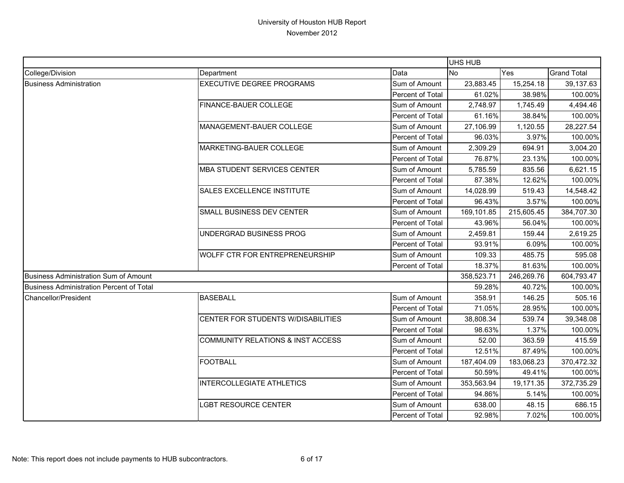|                                                 |                                              |                  | UHS HUB    |            |                    |
|-------------------------------------------------|----------------------------------------------|------------------|------------|------------|--------------------|
| College/Division                                | Department                                   | Data             | <b>No</b>  | Yes        | <b>Grand Total</b> |
| <b>Business Administration</b>                  | <b>EXECUTIVE DEGREE PROGRAMS</b>             | Sum of Amount    | 23,883.45  | 15,254.18  | 39,137.63          |
|                                                 |                                              | Percent of Total | 61.02%     | 38.98%     | 100.00%            |
|                                                 | FINANCE-BAUER COLLEGE                        | Sum of Amount    | 2,748.97   | 1,745.49   | 4,494.46           |
|                                                 |                                              | Percent of Total | 61.16%     | 38.84%     | 100.00%            |
|                                                 | MANAGEMENT-BAUER COLLEGE                     | Sum of Amount    | 27,106.99  | 1,120.55   | 28,227.54          |
|                                                 |                                              | Percent of Total | 96.03%     | 3.97%      | 100.00%            |
|                                                 | MARKETING-BAUER COLLEGE                      | Sum of Amount    | 2,309.29   | 694.91     | 3,004.20           |
|                                                 |                                              | Percent of Total | 76.87%     | 23.13%     | 100.00%            |
|                                                 | <b>MBA STUDENT SERVICES CENTER</b>           | Sum of Amount    | 5,785.59   | 835.56     | 6,621.15           |
|                                                 |                                              | Percent of Total | 87.38%     | 12.62%     | 100.00%            |
|                                                 | <b>SALES EXCELLENCE INSTITUTE</b>            | Sum of Amount    | 14,028.99  | 519.43     | 14,548.42          |
|                                                 |                                              | Percent of Total | 96.43%     | 3.57%      | 100.00%            |
|                                                 | SMALL BUSINESS DEV CENTER                    | Sum of Amount    | 169,101.85 | 215,605.45 | 384,707.30         |
|                                                 |                                              | Percent of Total | 43.96%     | 56.04%     | 100.00%            |
|                                                 | UNDERGRAD BUSINESS PROG                      | Sum of Amount    | 2,459.81   | 159.44     | 2,619.25           |
|                                                 |                                              | Percent of Total | 93.91%     | 6.09%      | 100.00%            |
|                                                 | WOLFF CTR FOR ENTREPRENEURSHIP               | Sum of Amount    | 109.33     | 485.75     | 595.08             |
|                                                 |                                              | Percent of Total | 18.37%     | 81.63%     | 100.00%            |
| Business Administration Sum of Amount           |                                              |                  | 358,523.71 | 246,269.76 | 604,793.47         |
| <b>Business Administration Percent of Total</b> |                                              |                  | 59.28%     | 40.72%     | 100.00%            |
| Chancellor/President                            | <b>BASEBALL</b>                              | Sum of Amount    | 358.91     | 146.25     | 505.16             |
|                                                 |                                              | Percent of Total | 71.05%     | 28.95%     | 100.00%            |
|                                                 | CENTER FOR STUDENTS W/DISABILITIES           | Sum of Amount    | 38,808.34  | 539.74     | 39,348.08          |
|                                                 |                                              | Percent of Total | 98.63%     | 1.37%      | 100.00%            |
|                                                 | <b>COMMUNITY RELATIONS &amp; INST ACCESS</b> | Sum of Amount    | 52.00      | 363.59     | 415.59             |
|                                                 |                                              | Percent of Total | 12.51%     | 87.49%     | 100.00%            |
|                                                 | <b>FOOTBALL</b>                              | Sum of Amount    | 187,404.09 | 183,068.23 | 370,472.32         |
|                                                 |                                              | Percent of Total | 50.59%     | 49.41%     | 100.00%            |
|                                                 | INTERCOLLEGIATE ATHLETICS                    | Sum of Amount    | 353,563.94 | 19,171.35  | 372,735.29         |
|                                                 |                                              | Percent of Total | 94.86%     | 5.14%      | 100.00%            |
|                                                 | <b>_GBT RESOURCE CENTER</b>                  | Sum of Amount    | 638.00     | 48.15      | 686.15             |
|                                                 |                                              | Percent of Total | 92.98%     | 7.02%      | 100.00%            |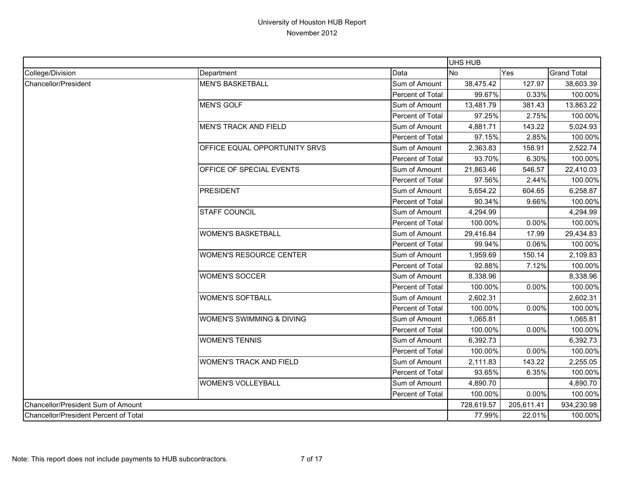|                                       |                                |                  | UHS HUB    |            |                    |
|---------------------------------------|--------------------------------|------------------|------------|------------|--------------------|
| College/Division                      | Department                     | Data             | <b>No</b>  | Yes        | <b>Grand Total</b> |
| <b>Chancellor/President</b>           | <b>MEN'S BASKETBALL</b>        | Sum of Amount    | 38,475.42  | 127.97     | 38,603.39          |
|                                       |                                | Percent of Total | 99.67%     | 0.33%      | 100.00%            |
|                                       | <b>MEN'S GOLF</b>              | Sum of Amount    | 13,481.79  | 381.43     | 13,863.22          |
|                                       |                                | Percent of Total | 97.25%     | 2.75%      | 100.00%            |
|                                       | <b>MEN'S TRACK AND FIELD</b>   | Sum of Amount    | 4,881.71   | 143.22     | 5,024.93           |
|                                       |                                | Percent of Total | 97.15%     | 2.85%      | 100.00%            |
|                                       | OFFICE EQUAL OPPORTUNITY SRVS  | Sum of Amount    | 2,363.83   | 158.91     | 2,522.74           |
|                                       |                                | Percent of Total | 93.70%     | 6.30%      | 100.00%            |
|                                       | OFFICE OF SPECIAL EVENTS       | Sum of Amount    | 21,863.46  | 546.57     | 22,410.03          |
|                                       |                                | Percent of Total | 97.56%     | 2.44%      | 100.00%            |
|                                       | <b>PRESIDENT</b>               | Sum of Amount    | 5,654.22   | 604.65     | 6,258.87           |
|                                       |                                | Percent of Total | 90.34%     | 9.66%      | 100.00%            |
|                                       | <b>STAFF COUNCIL</b>           | Sum of Amount    | 4,294.99   |            | 4,294.99           |
|                                       |                                | Percent of Total | 100.00%    | 0.00%      | 100.00%            |
|                                       | <b>WOMEN'S BASKETBALL</b>      | Sum of Amount    | 29,416.84  | 17.99      | 29,434.83          |
|                                       |                                | Percent of Total | 99.94%     | 0.06%      | 100.00%            |
|                                       | <b>WOMEN'S RESOURCE CENTER</b> | Sum of Amount    | 1,959.69   | 150.14     | 2,109.83           |
|                                       |                                | Percent of Total | 92.88%     | 7.12%      | 100.00%            |
|                                       | <b>WOMEN'S SOCCER</b>          | Sum of Amount    | 8,338.96   |            | 8,338.96           |
|                                       |                                | Percent of Total | 100.00%    | 0.00%      | 100.00%            |
|                                       | <b>WOMEN'S SOFTBALL</b>        | Sum of Amount    | 2,602.31   |            | 2,602.31           |
|                                       |                                | Percent of Total | 100.00%    | 0.00%      | 100.00%            |
|                                       | WOMEN'S SWIMMING & DIVING      | Sum of Amount    | 1,065.81   |            | 1,065.81           |
|                                       |                                | Percent of Total | 100.00%    | 0.00%      | 100.00%            |
|                                       | <b>WOMEN'S TENNIS</b>          | Sum of Amount    | 6,392.73   |            | 6,392.73           |
|                                       |                                | Percent of Total | 100.00%    | 0.00%      | 100.00%            |
|                                       | <b>WOMEN'S TRACK AND FIELD</b> | Sum of Amount    | 2,111.83   | 143.22     | 2,255.05           |
|                                       |                                | Percent of Total | 93.65%     | 6.35%      | 100.00%            |
|                                       | <b>WOMEN'S VOLLEYBALL</b>      | Sum of Amount    | 4,890.70   |            | 4,890.70           |
|                                       |                                | Percent of Total | 100.00%    | 0.00%      | 100.00%            |
| Chancellor/President Sum of Amount    |                                |                  | 728,619.57 | 205,611.41 | 934,230.98         |
| Chancellor/President Percent of Total |                                |                  | 77.99%     | 22.01%     | 100.00%            |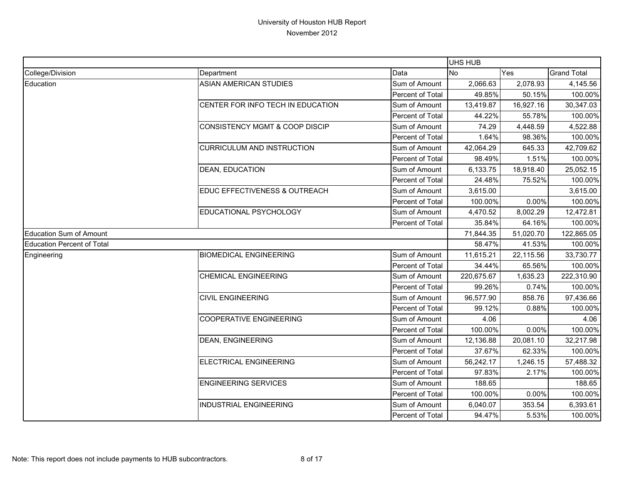|                                   |                                           |                         | UHS HUB    |           |                    |
|-----------------------------------|-------------------------------------------|-------------------------|------------|-----------|--------------------|
| College/Division                  | Department                                | Data                    | <b>No</b>  | Yes       | <b>Grand Total</b> |
| Education                         | <b>ASIAN AMERICAN STUDIES</b>             | Sum of Amount           | 2,066.63   | 2,078.93  | 4,145.56           |
|                                   |                                           | Percent of Total        | 49.85%     | 50.15%    | 100.00%            |
|                                   | CENTER FOR INFO TECH IN EDUCATION         | Sum of Amount           | 13,419.87  | 16,927.16 | 30,347.03          |
|                                   |                                           | Percent of Total        | 44.22%     | 55.78%    | 100.00%            |
|                                   | <b>CONSISTENCY MGMT &amp; COOP DISCIP</b> | Sum of Amount           | 74.29      | 4,448.59  | 4,522.88           |
|                                   |                                           | Percent of Total        | 1.64%      | 98.36%    | 100.00%            |
|                                   | <b>CURRICULUM AND INSTRUCTION</b>         | Sum of Amount           | 42,064.29  | 645.33    | 42,709.62          |
|                                   |                                           | Percent of Total        | 98.49%     | 1.51%     | 100.00%            |
|                                   | <b>DEAN, EDUCATION</b>                    | Sum of Amount           | 6,133.75   | 18,918.40 | 25,052.15          |
|                                   |                                           | Percent of Total        | 24.48%     | 75.52%    | 100.00%            |
|                                   | EDUC EFFECTIVENESS & OUTREACH             | Sum of Amount           | 3,615.00   |           | 3,615.00           |
|                                   |                                           | Percent of Total        | 100.00%    | 0.00%     | 100.00%            |
|                                   | EDUCATIONAL PSYCHOLOGY                    | Sum of Amount           | 4,470.52   | 8,002.29  | 12,472.81          |
|                                   |                                           | <b>Percent of Total</b> | 35.84%     | 64.16%    | 100.00%            |
| <b>Education Sum of Amount</b>    |                                           |                         | 71,844.35  | 51,020.70 | 122,865.05         |
| <b>Education Percent of Total</b> |                                           |                         | 58.47%     | 41.53%    | 100.00%            |
| Engineering                       | <b>BIOMEDICAL ENGINEERING</b>             | Sum of Amount           | 11,615.21  | 22,115.56 | 33,730.77          |
|                                   |                                           | Percent of Total        | 34.44%     | 65.56%    | 100.00%            |
|                                   | <b>CHEMICAL ENGINEERING</b>               | Sum of Amount           | 220,675.67 | 1,635.23  | 222,310.90         |
|                                   |                                           | Percent of Total        | 99.26%     | 0.74%     | 100.00%            |
|                                   | <b>CIVIL ENGINEERING</b>                  | Sum of Amount           | 96,577.90  | 858.76    | 97,436.66          |
|                                   |                                           | Percent of Total        | 99.12%     | 0.88%     | 100.00%            |
|                                   | <b>COOPERATIVE ENGINEERING</b>            | Sum of Amount           | 4.06       |           | 4.06               |
|                                   |                                           | Percent of Total        | 100.00%    | 0.00%     | 100.00%            |
|                                   | <b>DEAN, ENGINEERING</b>                  | Sum of Amount           | 12,136.88  | 20,081.10 | 32,217.98          |
|                                   |                                           | Percent of Total        | 37.67%     | 62.33%    | 100.00%            |
|                                   | ELECTRICAL ENGINEERING                    | Sum of Amount           | 56,242.17  | 1,246.15  | 57,488.32          |
|                                   |                                           | Percent of Total        | 97.83%     | 2.17%     | 100.00%            |
|                                   | <b>ENGINEERING SERVICES</b>               | Sum of Amount           | 188.65     |           | 188.65             |
|                                   |                                           | Percent of Total        | 100.00%    | 0.00%     | 100.00%            |
|                                   | INDUSTRIAL ENGINEERING                    | Sum of Amount           | 6,040.07   | 353.54    | 6,393.61           |
|                                   |                                           | <b>Percent of Total</b> | 94.47%     | 5.53%     | 100.00%            |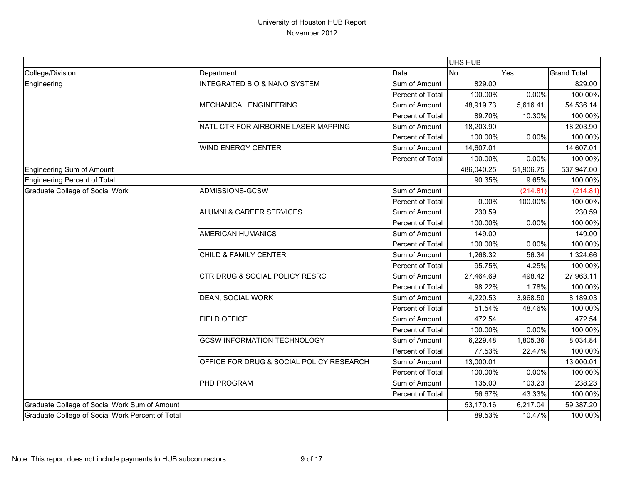|                                                  |                                          |                  | <b>UHS HUB</b> |           |                    |
|--------------------------------------------------|------------------------------------------|------------------|----------------|-----------|--------------------|
| College/Division                                 | Department                               | Data             | <b>No</b>      | Yes       | <b>Grand Total</b> |
| Engineering                                      | INTEGRATED BIO & NANO SYSTEM             | Sum of Amount    | 829.00         |           | 829.00             |
|                                                  |                                          | Percent of Total | 100.00%        | 0.00%     | 100.00%            |
|                                                  | <b>MECHANICAL ENGINEERING</b>            | Sum of Amount    | 48,919.73      | 5,616.41  | 54,536.14          |
|                                                  |                                          | Percent of Total | 89.70%         | 10.30%    | 100.00%            |
|                                                  | NATL CTR FOR AIRBORNE LASER MAPPING      | Sum of Amount    | 18,203.90      |           | 18,203.90          |
|                                                  |                                          | Percent of Total | 100.00%        | 0.00%     | 100.00%            |
|                                                  | <b>WIND ENERGY CENTER</b>                | Sum of Amount    | 14,607.01      |           | 14,607.01          |
|                                                  |                                          | Percent of Total | 100.00%        | 0.00%     | 100.00%            |
| Engineering Sum of Amount                        |                                          |                  | 486,040.25     | 51,906.75 | 537,947.00         |
| Engineering Percent of Total                     |                                          |                  | 90.35%         | 9.65%     | 100.00%            |
| <b>Graduate College of Social Work</b>           | ADMISSIONS-GCSW                          | Sum of Amount    |                | (214.81)  | (214.81)           |
|                                                  |                                          | Percent of Total | 0.00%          | 100.00%   | 100.00%            |
|                                                  | <b>ALUMNI &amp; CAREER SERVICES</b>      | Sum of Amount    | 230.59         |           | 230.59             |
|                                                  |                                          | Percent of Total | 100.00%        | 0.00%     | 100.00%            |
|                                                  | <b>AMERICAN HUMANICS</b>                 | Sum of Amount    | 149.00         |           | 149.00             |
|                                                  |                                          | Percent of Total | 100.00%        | 0.00%     | 100.00%            |
|                                                  | CHILD & FAMILY CENTER                    | Sum of Amount    | 1,268.32       | 56.34     | 1,324.66           |
|                                                  |                                          | Percent of Total | 95.75%         | 4.25%     | 100.00%            |
|                                                  | CTR DRUG & SOCIAL POLICY RESRC           | Sum of Amount    | 27,464.69      | 498.42    | 27,963.11          |
|                                                  |                                          | Percent of Total | 98.22%         | 1.78%     | 100.00%            |
|                                                  | DEAN, SOCIAL WORK                        | Sum of Amount    | 4,220.53       | 3,968.50  | 8,189.03           |
|                                                  |                                          | Percent of Total | 51.54%         | 48.46%    | 100.00%            |
|                                                  | <b>FIELD OFFICE</b>                      | Sum of Amount    | 472.54         |           | 472.54             |
|                                                  |                                          | Percent of Total | 100.00%        | 0.00%     | 100.00%            |
|                                                  | <b>GCSW INFORMATION TECHNOLOGY</b>       | Sum of Amount    | 6,229.48       | 1,805.36  | 8,034.84           |
|                                                  |                                          | Percent of Total | 77.53%         | 22.47%    | 100.00%            |
|                                                  | OFFICE FOR DRUG & SOCIAL POLICY RESEARCH | Sum of Amount    | 13,000.01      |           | 13,000.01          |
|                                                  |                                          | Percent of Total | 100.00%        | 0.00%     | 100.00%            |
|                                                  | PHD PROGRAM                              | Sum of Amount    | 135.00         | 103.23    | 238.23             |
|                                                  |                                          | Percent of Total | 56.67%         | 43.33%    | 100.00%            |
| Graduate College of Social Work Sum of Amount    |                                          |                  | 53,170.16      | 6,217.04  | 59,387.20          |
| Graduate College of Social Work Percent of Total |                                          |                  | 89.53%         | 10.47%    | 100.00%            |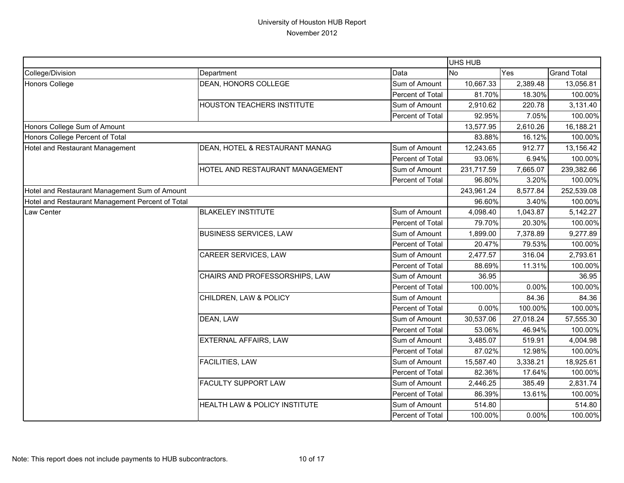|                                                  |                                   |                  | UHS HUB    |           |                    |
|--------------------------------------------------|-----------------------------------|------------------|------------|-----------|--------------------|
| College/Division                                 | Department                        | Data             | <b>No</b>  | Yes       | <b>Grand Total</b> |
| Honors College                                   | DEAN, HONORS COLLEGE              | Sum of Amount    | 10,667.33  | 2,389.48  | 13,056.81          |
|                                                  |                                   | Percent of Total | 81.70%     | 18.30%    | 100.00%            |
|                                                  | <b>HOUSTON TEACHERS INSTITUTE</b> | Sum of Amount    | 2,910.62   | 220.78    | 3,131.40           |
|                                                  |                                   | Percent of Total | 92.95%     | 7.05%     | 100.00%            |
| Honors College Sum of Amount                     |                                   |                  | 13,577.95  | 2,610.26  | 16,188.21          |
| Honors College Percent of Total                  |                                   |                  | 83.88%     | 16.12%    | 100.00%            |
| Hotel and Restaurant Management                  | DEAN, HOTEL & RESTAURANT MANAG    | Sum of Amount    | 12,243.65  | 912.77    | 13,156.42          |
|                                                  |                                   | Percent of Total | 93.06%     | 6.94%     | 100.00%            |
|                                                  | HOTEL AND RESTAURANT MANAGEMENT   | Sum of Amount    | 231,717.59 | 7,665.07  | 239,382.66         |
|                                                  |                                   | Percent of Total | 96.80%     | 3.20%     | 100.00%            |
| Hotel and Restaurant Management Sum of Amount    |                                   |                  | 243,961.24 | 8,577.84  | 252,539.08         |
| Hotel and Restaurant Management Percent of Total |                                   |                  | 96.60%     | 3.40%     | 100.00%            |
| Law Center                                       | <b>BLAKELEY INSTITUTE</b>         | Sum of Amount    | 4,098.40   | 1,043.87  | 5,142.27           |
|                                                  |                                   | Percent of Total | 79.70%     | 20.30%    | 100.00%            |
|                                                  | <b>BUSINESS SERVICES, LAW</b>     | Sum of Amount    | 1,899.00   | 7,378.89  | 9,277.89           |
|                                                  |                                   | Percent of Total | 20.47%     | 79.53%    | 100.00%            |
|                                                  | CAREER SERVICES, LAW              | Sum of Amount    | 2,477.57   | 316.04    | 2,793.61           |
|                                                  |                                   | Percent of Total | 88.69%     | 11.31%    | 100.00%            |
|                                                  | CHAIRS AND PROFESSORSHIPS, LAW    | Sum of Amount    | 36.95      |           | 36.95              |
|                                                  |                                   | Percent of Total | 100.00%    | 0.00%     | 100.00%            |
|                                                  | CHILDREN, LAW & POLICY            | Sum of Amount    |            | 84.36     | 84.36              |
|                                                  |                                   | Percent of Total | 0.00%      | 100.00%   | 100.00%            |
|                                                  | DEAN, LAW                         | Sum of Amount    | 30,537.06  | 27,018.24 | 57,555.30          |
|                                                  |                                   | Percent of Total | 53.06%     | 46.94%    | 100.00%            |
|                                                  | EXTERNAL AFFAIRS, LAW             | Sum of Amount    | 3,485.07   | 519.91    | 4,004.98           |
|                                                  |                                   | Percent of Total | 87.02%     | 12.98%    | 100.00%            |
|                                                  | <b>FACILITIES, LAW</b>            | Sum of Amount    | 15,587.40  | 3,338.21  | 18,925.61          |
|                                                  |                                   | Percent of Total | 82.36%     | 17.64%    | 100.00%            |
|                                                  | <b>FACULTY SUPPORT LAW</b>        | Sum of Amount    | 2,446.25   | 385.49    | 2,831.74           |
|                                                  |                                   | Percent of Total | 86.39%     | 13.61%    | 100.00%            |
|                                                  | HEALTH LAW & POLICY INSTITUTE     | Sum of Amount    | 514.80     |           | 514.80             |
|                                                  |                                   | Percent of Total | 100.00%    | 0.00%     | 100.00%            |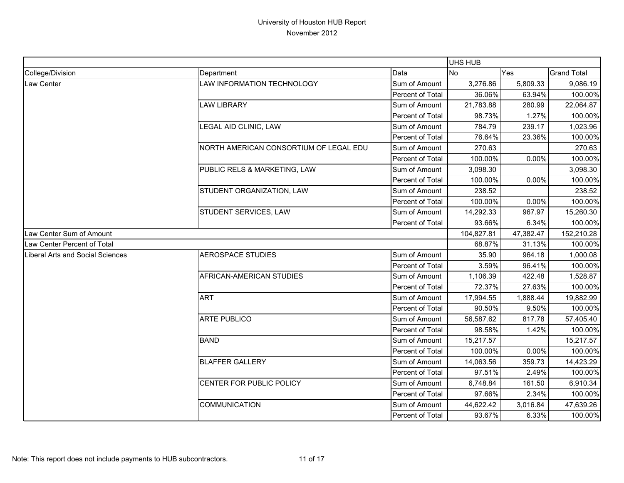|                                  |                                        |                  | UHS HUB    |           |                    |
|----------------------------------|----------------------------------------|------------------|------------|-----------|--------------------|
| College/Division                 | Department                             | Data             | <b>No</b>  | Yes       | <b>Grand Total</b> |
| Law Center                       | LAW INFORMATION TECHNOLOGY             | Sum of Amount    | 3,276.86   | 5,809.33  | 9,086.19           |
|                                  |                                        | Percent of Total | 36.06%     | 63.94%    | 100.00%            |
|                                  | <b>LAW LIBRARY</b>                     | Sum of Amount    | 21,783.88  | 280.99    | 22,064.87          |
|                                  |                                        | Percent of Total | 98.73%     | 1.27%     | 100.00%            |
|                                  | LEGAL AID CLINIC, LAW                  | Sum of Amount    | 784.79     | 239.17    | 1,023.96           |
|                                  |                                        | Percent of Total | 76.64%     | 23.36%    | 100.00%            |
|                                  | NORTH AMERICAN CONSORTIUM OF LEGAL EDU | Sum of Amount    | 270.63     |           | 270.63             |
|                                  |                                        | Percent of Total | 100.00%    | 0.00%     | 100.00%            |
|                                  | PUBLIC RELS & MARKETING, LAW           | Sum of Amount    | 3,098.30   |           | 3,098.30           |
|                                  |                                        | Percent of Total | 100.00%    | 0.00%     | 100.00%            |
|                                  | STUDENT ORGANIZATION, LAW              | Sum of Amount    | 238.52     |           | 238.52             |
|                                  |                                        | Percent of Total | 100.00%    | 0.00%     | 100.00%            |
|                                  | STUDENT SERVICES, LAW                  | Sum of Amount    | 14,292.33  | 967.97    | 15,260.30          |
|                                  |                                        | Percent of Total | 93.66%     | 6.34%     | 100.00%            |
| Law Center Sum of Amount         |                                        |                  | 104,827.81 | 47,382.47 | 152,210.28         |
| Law Center Percent of Total      |                                        |                  | 68.87%     | 31.13%    | 100.00%            |
| Liberal Arts and Social Sciences | <b>AEROSPACE STUDIES</b>               | Sum of Amount    | 35.90      | 964.18    | 1,000.08           |
|                                  |                                        | Percent of Total | 3.59%      | 96.41%    | 100.00%            |
|                                  | AFRICAN-AMERICAN STUDIES               | Sum of Amount    | 1,106.39   | 422.48    | 1,528.87           |
|                                  |                                        | Percent of Total | 72.37%     | 27.63%    | 100.00%            |
|                                  | <b>ART</b>                             | Sum of Amount    | 17,994.55  | 1,888.44  | 19,882.99          |
|                                  |                                        | Percent of Total | 90.50%     | 9.50%     | 100.00%            |
|                                  | <b>ARTE PUBLICO</b>                    | Sum of Amount    | 56,587.62  | 817.78    | 57,405.40          |
|                                  |                                        | Percent of Total | 98.58%     | 1.42%     | 100.00%            |
|                                  | <b>BAND</b>                            | Sum of Amount    | 15,217.57  |           | 15,217.57          |
|                                  |                                        | Percent of Total | 100.00%    | 0.00%     | 100.00%            |
|                                  | <b>BLAFFER GALLERY</b>                 | Sum of Amount    | 14,063.56  | 359.73    | 14,423.29          |
|                                  |                                        | Percent of Total | 97.51%     | 2.49%     | 100.00%            |
|                                  | CENTER FOR PUBLIC POLICY               | Sum of Amount    | 6,748.84   | 161.50    | 6,910.34           |
|                                  |                                        | Percent of Total | 97.66%     | 2.34%     | 100.00%            |
|                                  | COMMUNICATION                          | Sum of Amount    | 44,622.42  | 3,016.84  | 47,639.26          |
|                                  |                                        | Percent of Total | 93.67%     | 6.33%     | 100.00%            |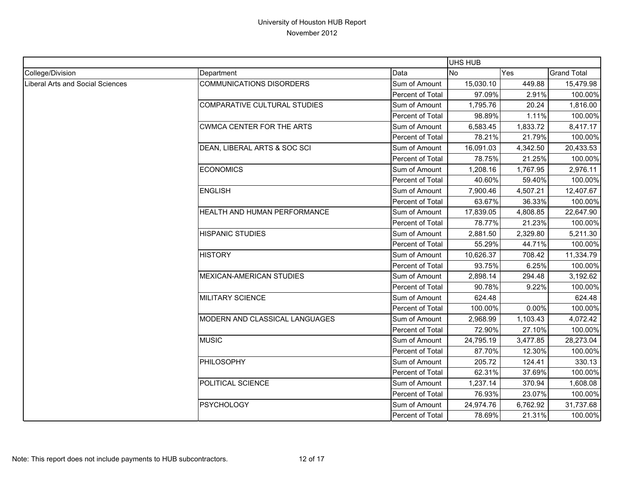|                                         |                                  |                  | UHS HUB   |          |                    |
|-----------------------------------------|----------------------------------|------------------|-----------|----------|--------------------|
| College/Division                        | Department                       | Data             | <b>No</b> | Yes      | <b>Grand Total</b> |
| <b>Liberal Arts and Social Sciences</b> | <b>COMMUNICATIONS DISORDERS</b>  | Sum of Amount    | 15,030.10 | 449.88   | 15,479.98          |
|                                         |                                  | Percent of Total | 97.09%    | 2.91%    | 100.00%            |
|                                         | COMPARATIVE CULTURAL STUDIES     | Sum of Amount    | 1,795.76  | 20.24    | 1,816.00           |
|                                         |                                  | Percent of Total | 98.89%    | 1.11%    | 100.00%            |
|                                         | <b>CWMCA CENTER FOR THE ARTS</b> | Sum of Amount    | 6,583.45  | 1,833.72 | 8,417.17           |
|                                         |                                  | Percent of Total | 78.21%    | 21.79%   | 100.00%            |
|                                         | DEAN, LIBERAL ARTS & SOC SCI     | Sum of Amount    | 16,091.03 | 4,342.50 | 20,433.53          |
|                                         |                                  | Percent of Total | 78.75%    | 21.25%   | 100.00%            |
|                                         | <b>ECONOMICS</b>                 | Sum of Amount    | 1,208.16  | 1,767.95 | 2,976.11           |
|                                         |                                  | Percent of Total | 40.60%    | 59.40%   | 100.00%            |
|                                         | <b>ENGLISH</b>                   | Sum of Amount    | 7,900.46  | 4,507.21 | 12,407.67          |
|                                         |                                  | Percent of Total | 63.67%    | 36.33%   | 100.00%            |
|                                         | HEALTH AND HUMAN PERFORMANCE     | Sum of Amount    | 17,839.05 | 4,808.85 | 22,647.90          |
|                                         |                                  | Percent of Total | 78.77%    | 21.23%   | 100.00%            |
|                                         | <b>HISPANIC STUDIES</b>          | Sum of Amount    | 2,881.50  | 2,329.80 | 5,211.30           |
|                                         |                                  | Percent of Total | 55.29%    | 44.71%   | 100.00%            |
|                                         | <b>HISTORY</b>                   | Sum of Amount    | 10,626.37 | 708.42   | 11,334.79          |
|                                         |                                  | Percent of Total | 93.75%    | 6.25%    | 100.00%            |
|                                         | <b>MEXICAN-AMERICAN STUDIES</b>  | Sum of Amount    | 2,898.14  | 294.48   | 3,192.62           |
|                                         |                                  | Percent of Total | 90.78%    | 9.22%    | 100.00%            |
|                                         | <b>MILITARY SCIENCE</b>          | Sum of Amount    | 624.48    |          | 624.48             |
|                                         |                                  | Percent of Total | 100.00%   | 0.00%    | 100.00%            |
|                                         | MODERN AND CLASSICAL LANGUAGES   | Sum of Amount    | 2,968.99  | 1,103.43 | 4,072.42           |
|                                         |                                  | Percent of Total | 72.90%    | 27.10%   | 100.00%            |
|                                         | <b>MUSIC</b>                     | Sum of Amount    | 24,795.19 | 3,477.85 | 28,273.04          |
|                                         |                                  | Percent of Total | 87.70%    | 12.30%   | 100.00%            |
|                                         | PHILOSOPHY                       | Sum of Amount    | 205.72    | 124.41   | 330.13             |
|                                         |                                  | Percent of Total | 62.31%    | 37.69%   | 100.00%            |
|                                         | POLITICAL SCIENCE                | Sum of Amount    | 1,237.14  | 370.94   | 1,608.08           |
|                                         |                                  | Percent of Total | 76.93%    | 23.07%   | 100.00%            |
|                                         | <b>PSYCHOLOGY</b>                | Sum of Amount    | 24,974.76 | 6,762.92 | 31,737.68          |
|                                         |                                  | Percent of Total | 78.69%    | 21.31%   | 100.00%            |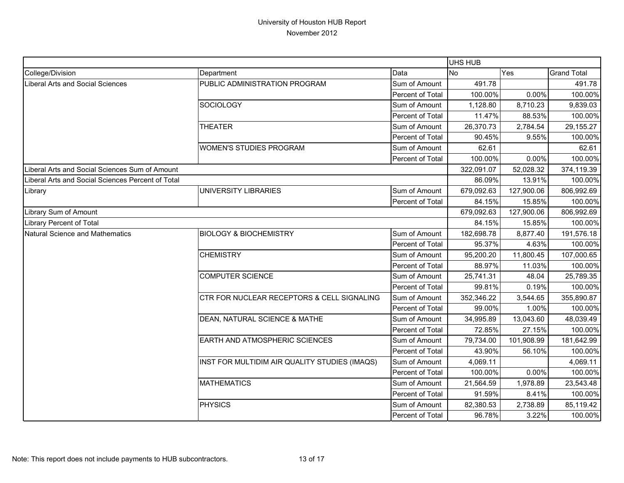|                                                   |                                               | <b>UHS HUB</b>          |                  |            |                    |
|---------------------------------------------------|-----------------------------------------------|-------------------------|------------------|------------|--------------------|
| College/Division                                  | Department                                    | Data                    | <b>No</b><br>Yes |            | <b>Grand Total</b> |
| Liberal Arts and Social Sciences                  | PUBLIC ADMINISTRATION PROGRAM                 | Sum of Amount           | 491.78           |            | 491.78             |
|                                                   |                                               | Percent of Total        | 100.00%          | 0.00%      | 100.00%            |
|                                                   | SOCIOLOGY                                     | Sum of Amount           | 1,128.80         | 8,710.23   | 9,839.03           |
|                                                   |                                               | Percent of Total        | 11.47%           | 88.53%     | 100.00%            |
|                                                   | <b>THEATER</b>                                | Sum of Amount           | 26,370.73        | 2,784.54   | 29,155.27          |
|                                                   |                                               | Percent of Total        | 90.45%           | 9.55%      | 100.00%            |
|                                                   | <b>WOMEN'S STUDIES PROGRAM</b>                | Sum of Amount           | 62.61            |            | 62.61              |
|                                                   |                                               | Percent of Total        | 100.00%          | $0.00\%$   | 100.00%            |
| Liberal Arts and Social Sciences Sum of Amount    |                                               |                         | 322,091.07       | 52,028.32  | 374,119.39         |
| Liberal Arts and Social Sciences Percent of Total |                                               |                         | 86.09%           | 13.91%     | 100.00%            |
| Library                                           | <b>UNIVERSITY LIBRARIES</b>                   | Sum of Amount           | 679,092.63       | 127,900.06 | 806,992.69         |
|                                                   |                                               | <b>Percent of Total</b> | 84.15%           | 15.85%     | 100.00%            |
| Library Sum of Amount                             |                                               |                         | 679,092.63       | 127,900.06 | 806,992.69         |
| Library Percent of Total                          |                                               |                         | 84.15%           | 15.85%     | 100.00%            |
| Natural Science and Mathematics                   | <b>BIOLOGY &amp; BIOCHEMISTRY</b>             | Sum of Amount           | 182,698.78       | 8,877.40   | 191,576.18         |
|                                                   |                                               | <b>Percent of Total</b> | 95.37%           | 4.63%      | 100.00%            |
|                                                   | <b>CHEMISTRY</b>                              | Sum of Amount           | 95,200.20        | 11,800.45  | 107,000.65         |
|                                                   |                                               | Percent of Total        | 88.97%           | 11.03%     | 100.00%            |
|                                                   | <b>COMPUTER SCIENCE</b>                       | Sum of Amount           | 25,741.31        | 48.04      | 25,789.35          |
|                                                   |                                               | Percent of Total        | 99.81%           | 0.19%      | 100.00%            |
|                                                   | CTR FOR NUCLEAR RECEPTORS & CELL SIGNALING    | Sum of Amount           | 352,346.22       | 3,544.65   | 355,890.87         |
|                                                   |                                               | Percent of Total        | 99.00%           | 1.00%      | 100.00%            |
|                                                   | DEAN, NATURAL SCIENCE & MATHE                 | Sum of Amount           | 34,995.89        | 13,043.60  | 48,039.49          |
|                                                   |                                               | Percent of Total        | 72.85%           | 27.15%     | 100.00%            |
|                                                   | EARTH AND ATMOSPHERIC SCIENCES                | Sum of Amount           | 79,734.00        | 101,908.99 | 181,642.99         |
|                                                   |                                               | Percent of Total        | 43.90%           | 56.10%     | 100.00%            |
|                                                   | INST FOR MULTIDIM AIR QUALITY STUDIES (IMAQS) | Sum of Amount           | 4,069.11         |            | 4,069.11           |
|                                                   |                                               | Percent of Total        | 100.00%          | 0.00%      | 100.00%            |
|                                                   | <b>MATHEMATICS</b>                            | Sum of Amount           | 21,564.59        | 1,978.89   | 23,543.48          |
|                                                   |                                               | Percent of Total        | 91.59%           | 8.41%      | 100.00%            |
|                                                   | <b>PHYSICS</b>                                | Sum of Amount           | 82,380.53        | 2,738.89   | 85,119.42          |
|                                                   |                                               | Percent of Total        | 96.78%           | 3.22%      | 100.00%            |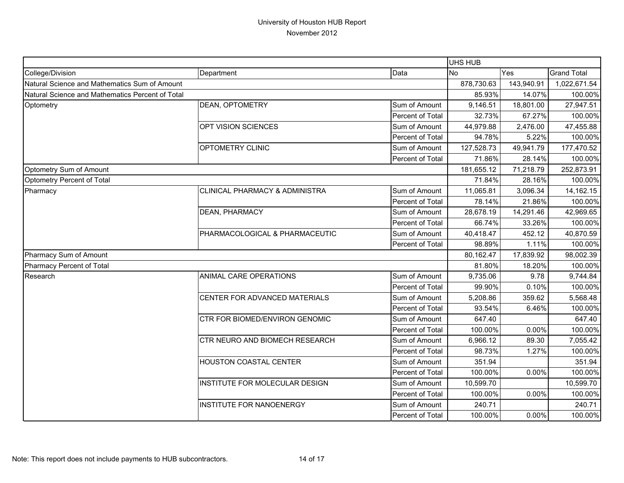|                                                  |                                           |                  | <b>UHS HUB</b> |              |                    |
|--------------------------------------------------|-------------------------------------------|------------------|----------------|--------------|--------------------|
| College/Division                                 | Department                                | Data             | <b>No</b>      | Yes          | <b>Grand Total</b> |
| Natural Science and Mathematics Sum of Amount    |                                           | 878,730.63       | 143,940.91     | 1,022,671.54 |                    |
| Natural Science and Mathematics Percent of Total |                                           |                  | 85.93%         | 14.07%       | 100.00%            |
| Optometry                                        | DEAN, OPTOMETRY                           | Sum of Amount    | 9,146.51       | 18,801.00    | 27,947.51          |
|                                                  |                                           | Percent of Total | 32.73%         | 67.27%       | 100.00%            |
|                                                  | OPT VISION SCIENCES                       | Sum of Amount    | 44,979.88      | 2,476.00     | 47,455.88          |
|                                                  |                                           | Percent of Total | 94.78%         | 5.22%        | 100.00%            |
|                                                  | OPTOMETRY CLINIC                          | Sum of Amount    | 127,528.73     | 49,941.79    | 177,470.52         |
|                                                  |                                           | Percent of Total | 71.86%         | 28.14%       | 100.00%            |
| Optometry Sum of Amount                          |                                           |                  | 181,655.12     | 71,218.79    | 252,873.91         |
| Optometry Percent of Total                       |                                           |                  | 71.84%         | 28.16%       | 100.00%            |
| Pharmacy                                         | <b>CLINICAL PHARMACY &amp; ADMINISTRA</b> | Sum of Amount    | 11,065.81      | 3,096.34     | 14,162.15          |
|                                                  |                                           | Percent of Total | 78.14%         | 21.86%       | 100.00%            |
|                                                  | DEAN, PHARMACY                            | Sum of Amount    | 28,678.19      | 14,291.46    | 42,969.65          |
|                                                  |                                           | Percent of Total | 66.74%         | 33.26%       | 100.00%            |
|                                                  | PHARMACOLOGICAL & PHARMACEUTIC            | Sum of Amount    | 40,418.47      | 452.12       | 40,870.59          |
|                                                  |                                           | Percent of Total | 98.89%         | 1.11%        | 100.00%            |
| Pharmacy Sum of Amount                           |                                           | 80,162.47        | 17,839.92      | 98,002.39    |                    |
| Pharmacy Percent of Total                        |                                           |                  | 81.80%         | 18.20%       | 100.00%            |
| Research                                         | ANIMAL CARE OPERATIONS                    | Sum of Amount    | 9,735.06       | 9.78         | 9,744.84           |
|                                                  |                                           | Percent of Total | 99.90%         | 0.10%        | 100.00%            |
|                                                  | CENTER FOR ADVANCED MATERIALS             | Sum of Amount    | 5,208.86       | 359.62       | 5,568.48           |
|                                                  |                                           | Percent of Total | 93.54%         | 6.46%        | 100.00%            |
|                                                  | CTR FOR BIOMED/ENVIRON GENOMIC            | Sum of Amount    | 647.40         |              | 647.40             |
|                                                  |                                           | Percent of Total | 100.00%        | 0.00%        | 100.00%            |
|                                                  | CTR NEURO AND BIOMECH RESEARCH            | Sum of Amount    | 6,966.12       | 89.30        | 7,055.42           |
|                                                  |                                           | Percent of Total | 98.73%         | 1.27%        | 100.00%            |
|                                                  | HOUSTON COASTAL CENTER                    | Sum of Amount    | 351.94         |              | 351.94             |
|                                                  |                                           | Percent of Total | 100.00%        | 0.00%        | 100.00%            |
|                                                  | INSTITUTE FOR MOLECULAR DESIGN            | Sum of Amount    | 10,599.70      |              | 10,599.70          |
|                                                  |                                           | Percent of Total | 100.00%        | 0.00%        | 100.00%            |
|                                                  | <b>INSTITUTE FOR NANOENERGY</b>           | Sum of Amount    | 240.71         |              | 240.71             |
|                                                  |                                           | Percent of Total | 100.00%        | 0.00%        | 100.00%            |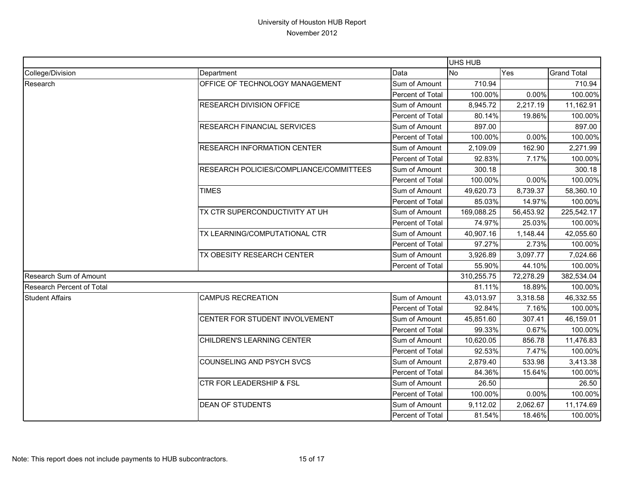|                                  |                                         |                  | UHS HUB                                                                                                                                                                                                                                                                                                                                                                                                                                                                       |                                             |                    |
|----------------------------------|-----------------------------------------|------------------|-------------------------------------------------------------------------------------------------------------------------------------------------------------------------------------------------------------------------------------------------------------------------------------------------------------------------------------------------------------------------------------------------------------------------------------------------------------------------------|---------------------------------------------|--------------------|
| College/Division                 | Department                              | Data             | <b>No</b>                                                                                                                                                                                                                                                                                                                                                                                                                                                                     | Yes                                         | <b>Grand Total</b> |
| Research                         | OFFICE OF TECHNOLOGY MANAGEMENT         | Sum of Amount    | 710.94                                                                                                                                                                                                                                                                                                                                                                                                                                                                        |                                             | 710.94             |
|                                  |                                         | Percent of Total |                                                                                                                                                                                                                                                                                                                                                                                                                                                                               | 0.00%                                       | 100.00%            |
|                                  | <b>RESEARCH DIVISION OFFICE</b>         | Sum of Amount    | 8,945.72                                                                                                                                                                                                                                                                                                                                                                                                                                                                      | 2,217.19                                    | 11,162.91          |
|                                  |                                         | Percent of Total |                                                                                                                                                                                                                                                                                                                                                                                                                                                                               | 19.86%                                      | 100.00%            |
|                                  | <b>RESEARCH FINANCIAL SERVICES</b>      | Sum of Amount    | 897.00                                                                                                                                                                                                                                                                                                                                                                                                                                                                        |                                             | 897.00             |
|                                  |                                         | Percent of Total |                                                                                                                                                                                                                                                                                                                                                                                                                                                                               |                                             | 100.00%            |
|                                  | <b>RESEARCH INFORMATION CENTER</b>      | Sum of Amount    | 2,109.09                                                                                                                                                                                                                                                                                                                                                                                                                                                                      | 162.90                                      | 2,271.99           |
|                                  |                                         | Percent of Total |                                                                                                                                                                                                                                                                                                                                                                                                                                                                               | 7.17%                                       | 100.00%            |
|                                  | RESEARCH POLICIES/COMPLIANCE/COMMITTEES | Sum of Amount    | 300.18                                                                                                                                                                                                                                                                                                                                                                                                                                                                        |                                             | 300.18             |
|                                  |                                         | Percent of Total |                                                                                                                                                                                                                                                                                                                                                                                                                                                                               |                                             | 100.00%            |
|                                  | <b>TIMES</b>                            | Sum of Amount    | 49,620.73                                                                                                                                                                                                                                                                                                                                                                                                                                                                     | 8,739.37                                    | 58,360.10          |
|                                  |                                         | Percent of Total |                                                                                                                                                                                                                                                                                                                                                                                                                                                                               | 14.97%                                      | 100.00%            |
|                                  | TX CTR SUPERCONDUCTIVITY AT UH          | Sum of Amount    | 100.00%<br>80.14%<br>100.00%<br>0.00%<br>92.83%<br>100.00%<br>0.00%<br>85.03%<br>169,088.25<br>56,453.92<br>74.97%<br>25.03%<br>40,907.16<br>1,148.44<br>97.27%<br>2.73%<br>3,926.89<br>3,097.77<br>55.90%<br>44.10%<br>310,255.75<br>72,278.29<br>81.11%<br>18.89%<br>43,013.97<br>3,318.58<br>92.84%<br>7.16%<br>45,851.60<br>307.41<br>0.67%<br>99.33%<br>10,620.05<br>856.78<br>7.47%<br>92.53%<br>2,879.40<br>533.98<br>84.36%<br>15.64%<br>26.50<br>100.00%<br>$0.00\%$ | 225,542.17                                  |                    |
|                                  |                                         | Percent of Total |                                                                                                                                                                                                                                                                                                                                                                                                                                                                               |                                             |                    |
|                                  | TX LEARNING/COMPUTATIONAL CTR           | Sum of Amount    |                                                                                                                                                                                                                                                                                                                                                                                                                                                                               | 100.00%<br>42,055.60<br>100.00%<br>7,024.66 |                    |
|                                  |                                         | Percent of Total |                                                                                                                                                                                                                                                                                                                                                                                                                                                                               |                                             |                    |
|                                  | TX OBESITY RESEARCH CENTER              | Sum of Amount    |                                                                                                                                                                                                                                                                                                                                                                                                                                                                               |                                             |                    |
|                                  |                                         | Percent of Total |                                                                                                                                                                                                                                                                                                                                                                                                                                                                               |                                             | 100.00%            |
| <b>Research Sum of Amount</b>    |                                         |                  |                                                                                                                                                                                                                                                                                                                                                                                                                                                                               |                                             | 382,534.04         |
| <b>Research Percent of Total</b> |                                         |                  |                                                                                                                                                                                                                                                                                                                                                                                                                                                                               | 100.00%                                     |                    |
| <b>Student Affairs</b>           | <b>CAMPUS RECREATION</b>                | Sum of Amount    |                                                                                                                                                                                                                                                                                                                                                                                                                                                                               |                                             | 46,332.55          |
|                                  |                                         | Percent of Total |                                                                                                                                                                                                                                                                                                                                                                                                                                                                               |                                             | 100.00%            |
|                                  | CENTER FOR STUDENT INVOLVEMENT          | Sum of Amount    |                                                                                                                                                                                                                                                                                                                                                                                                                                                                               |                                             | 46,159.01          |
|                                  |                                         | Percent of Total |                                                                                                                                                                                                                                                                                                                                                                                                                                                                               |                                             | 100.00%            |
|                                  | CHILDREN'S LEARNING CENTER              | Sum of Amount    |                                                                                                                                                                                                                                                                                                                                                                                                                                                                               |                                             | 11,476.83          |
|                                  |                                         | Percent of Total |                                                                                                                                                                                                                                                                                                                                                                                                                                                                               |                                             | 100.00%            |
|                                  | <b>COUNSELING AND PSYCH SVCS</b>        | Sum of Amount    |                                                                                                                                                                                                                                                                                                                                                                                                                                                                               |                                             | 3,413.38           |
|                                  |                                         | Percent of Total |                                                                                                                                                                                                                                                                                                                                                                                                                                                                               |                                             | 100.00%            |
|                                  | <b>CTR FOR LEADERSHIP &amp; FSL</b>     | Sum of Amount    |                                                                                                                                                                                                                                                                                                                                                                                                                                                                               |                                             | 26.50              |
|                                  |                                         | Percent of Total |                                                                                                                                                                                                                                                                                                                                                                                                                                                                               |                                             | 100.00%            |
|                                  | <b>DEAN OF STUDENTS</b>                 | Sum of Amount    | 9,112.02                                                                                                                                                                                                                                                                                                                                                                                                                                                                      | 2,062.67                                    | 11,174.69          |
|                                  |                                         | Percent of Total | 81.54%                                                                                                                                                                                                                                                                                                                                                                                                                                                                        | 18.46%                                      | 100.00%            |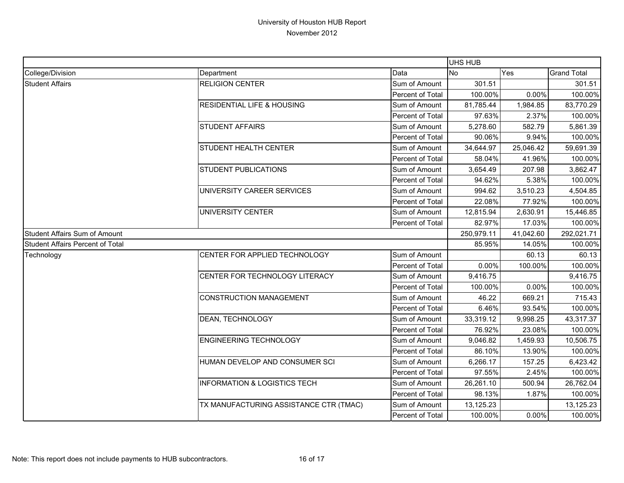|                                         |                                         |                  | UHS HUB   |            |                    |
|-----------------------------------------|-----------------------------------------|------------------|-----------|------------|--------------------|
| College/Division                        | Department                              | Data             | <b>No</b> | Yes        | <b>Grand Total</b> |
| <b>Student Affairs</b>                  | <b>RELIGION CENTER</b>                  | Sum of Amount    | 301.51    |            | 301.51             |
|                                         |                                         | Percent of Total | 100.00%   | 0.00%      | 100.00%            |
|                                         | <b>RESIDENTIAL LIFE &amp; HOUSING</b>   | Sum of Amount    | 81,785.44 | 1,984.85   | 83,770.29          |
|                                         |                                         | Percent of Total | 97.63%    | 2.37%      | 100.00%            |
|                                         | <b>STUDENT AFFAIRS</b>                  | Sum of Amount    | 5,278.60  | 582.79     | 5,861.39           |
|                                         |                                         | Percent of Total | 90.06%    | 9.94%      | 100.00%            |
|                                         | STUDENT HEALTH CENTER                   | Sum of Amount    | 34,644.97 | 25,046.42  | 59,691.39          |
|                                         |                                         | Percent of Total | 58.04%    | 41.96%     | 100.00%            |
|                                         | <b>STUDENT PUBLICATIONS</b>             | Sum of Amount    | 3,654.49  | 207.98     | 3,862.47           |
|                                         |                                         | Percent of Total | 94.62%    | 5.38%      | 100.00%            |
|                                         | UNIVERSITY CAREER SERVICES              | Sum of Amount    | 994.62    | 3,510.23   | 4,504.85           |
|                                         |                                         | Percent of Total | 22.08%    | 77.92%     | 100.00%            |
|                                         | UNIVERSITY CENTER                       | Sum of Amount    | 12,815.94 | 2,630.91   | 15,446.85          |
|                                         |                                         | Percent of Total | 82.97%    | 17.03%     | 100.00%            |
| Student Affairs Sum of Amount           |                                         | 250,979.11       | 41,042.60 | 292,021.71 |                    |
| <b>Student Affairs Percent of Total</b> |                                         |                  | 85.95%    | 14.05%     | 100.00%            |
| Technology                              | CENTER FOR APPLIED TECHNOLOGY           | Sum of Amount    |           | 60.13      | 60.13              |
|                                         |                                         | Percent of Total | 0.00%     | 100.00%    | 100.00%            |
|                                         | CENTER FOR TECHNOLOGY LITERACY          | Sum of Amount    | 9,416.75  |            | 9,416.75           |
|                                         |                                         | Percent of Total | 100.00%   | 0.00%      | 100.00%            |
|                                         | <b>CONSTRUCTION MANAGEMENT</b>          | Sum of Amount    | 46.22     | 669.21     | 715.43             |
|                                         |                                         | Percent of Total | 6.46%     | 93.54%     | 100.00%            |
|                                         | DEAN, TECHNOLOGY                        | Sum of Amount    | 33,319.12 | 9,998.25   | 43,317.37          |
|                                         |                                         | Percent of Total | 76.92%    | 23.08%     | 100.00%            |
|                                         | <b>ENGINEERING TECHNOLOGY</b>           | Sum of Amount    | 9,046.82  | 1,459.93   | 10,506.75          |
|                                         |                                         | Percent of Total | 86.10%    | 13.90%     | 100.00%            |
|                                         | HUMAN DEVELOP AND CONSUMER SCI          | Sum of Amount    | 6,266.17  | 157.25     | 6,423.42           |
|                                         |                                         | Percent of Total | 97.55%    | 2.45%      | 100.00%            |
|                                         | <b>INFORMATION &amp; LOGISTICS TECH</b> | Sum of Amount    | 26,261.10 | 500.94     | 26,762.04          |
|                                         |                                         | Percent of Total | 98.13%    | 1.87%      | 100.00%            |
|                                         | TX MANUFACTURING ASSISTANCE CTR (TMAC)  | Sum of Amount    | 13,125.23 |            | 13,125.23          |
|                                         |                                         | Percent of Total | 100.00%   | 0.00%      | 100.00%            |